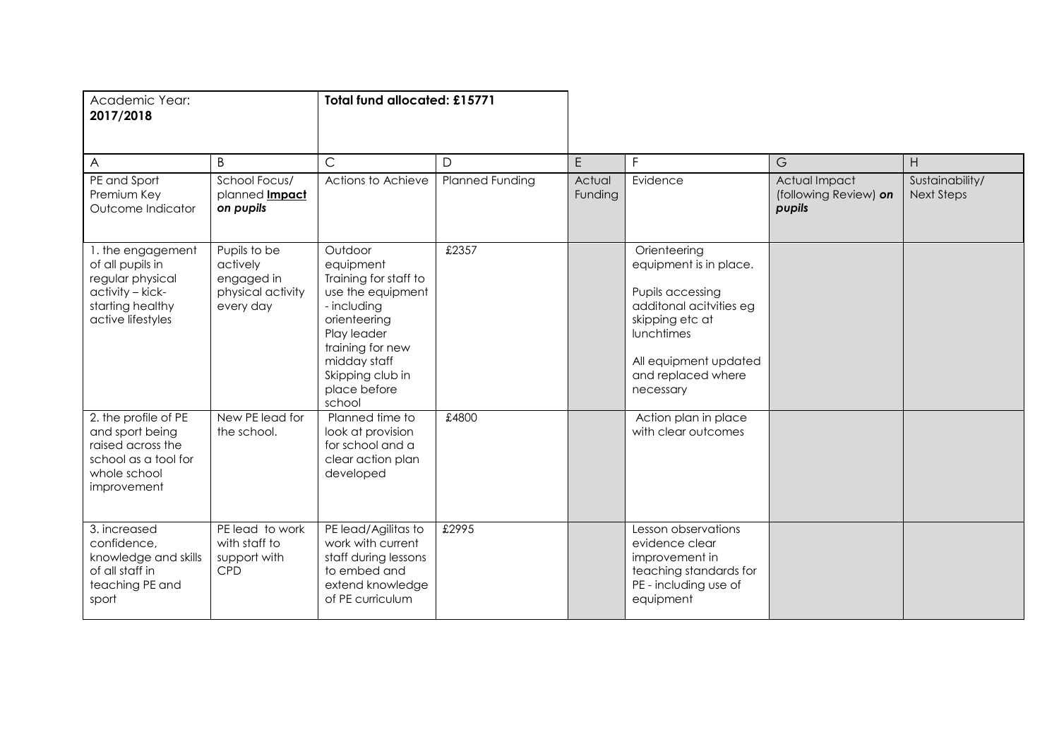| Academic Year:<br>2017/2018                                                                                            |                                                                          | <b>Total fund allocated: £15771</b>                                                                                                                                                                |                        |                   |                                                                                                                                                                                    |                                                  |                                      |
|------------------------------------------------------------------------------------------------------------------------|--------------------------------------------------------------------------|----------------------------------------------------------------------------------------------------------------------------------------------------------------------------------------------------|------------------------|-------------------|------------------------------------------------------------------------------------------------------------------------------------------------------------------------------------|--------------------------------------------------|--------------------------------------|
| A                                                                                                                      | B                                                                        | $\mathsf{C}$                                                                                                                                                                                       | D                      | E                 | F.                                                                                                                                                                                 | G                                                | H.                                   |
| PE and Sport<br>Premium Key<br>Outcome Indicator                                                                       | School Focus/<br>planned <b>Impact</b><br>on pupils                      | Actions to Achieve                                                                                                                                                                                 | <b>Planned Funding</b> | Actual<br>Funding | Evidence                                                                                                                                                                           | Actual Impact<br>(following Review) on<br>pupils | Sustainability/<br><b>Next Steps</b> |
| 1. the engagement<br>of all pupils in<br>regular physical<br>activity - kick-<br>starting healthy<br>active lifestyles | Pupils to be<br>actively<br>engaged in<br>physical activity<br>every day | Outdoor<br>equipment<br>Training for staff to<br>use the equipment<br>- including<br>orienteering<br>Play leader<br>training for new<br>midday staff<br>Skipping club in<br>place before<br>school | £2357                  |                   | Orienteering<br>equipment is in place.<br>Pupils accessing<br>additonal acitvities eg<br>skipping etc at<br>lunchtimes<br>All equipment updated<br>and replaced where<br>necessary |                                                  |                                      |
| 2. the profile of PE<br>and sport being<br>raised across the<br>school as a tool for<br>whole school<br>improvement    | New PE lead for<br>the school.                                           | Planned time to<br>look at provision<br>for school and a<br>clear action plan<br>developed                                                                                                         | £4800                  |                   | Action plan in place<br>with clear outcomes                                                                                                                                        |                                                  |                                      |
| 3. increased<br>confidence,<br>knowledge and skills<br>of all staff in<br>teaching PE and<br>sport                     | PE lead to work<br>with staff to<br>support with<br><b>CPD</b>           | PE lead/Agilitas to<br>work with current<br>staff during lessons<br>to embed and<br>extend knowledge<br>of PE curriculum                                                                           | £2995                  |                   | Lesson observations<br>evidence clear<br>improvement in<br>teaching standards for<br>PE - including use of<br>equipment                                                            |                                                  |                                      |